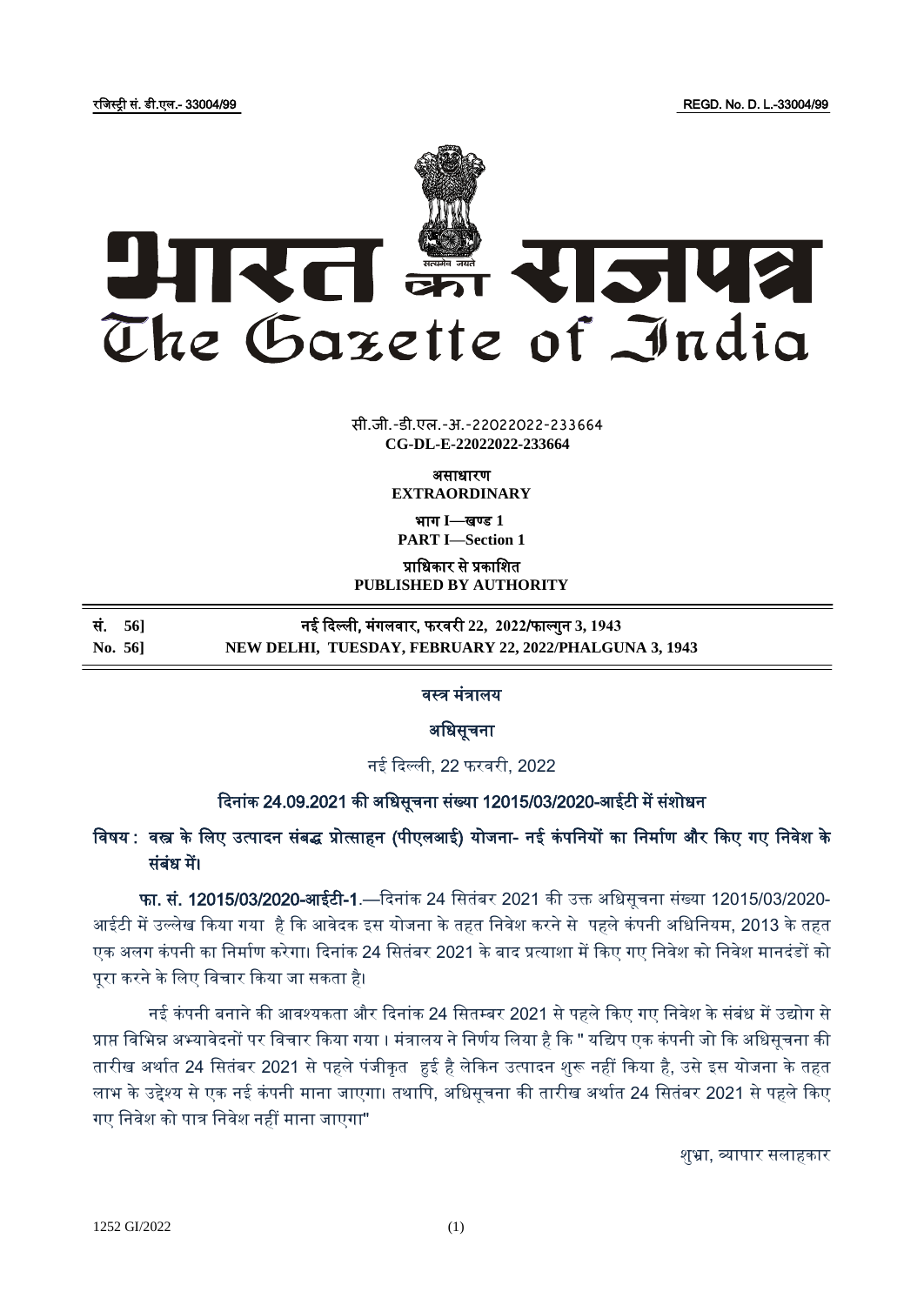रजिस्ट्री सं. डी.एल.- 33004/99 REGD. No. D. L.-33004/99



**x** सी.जी.-डी.एल.-अ.-22022022-233<mark>66</mark>4 **CG-DL-E-22022022-233664**

> असाधारण **EXTRAORDINARY**

भाग **I**—खण् ड **1 PART I—Section 1**

प्राजधकार से प्रकाजित

**PUBLISHED BY AUTHORITY**

|         | सं. 56] | नई दिल्ली, मंगलवार, फरवरी 22,  2022/फाल्गुन 3, 1943    |
|---------|---------|--------------------------------------------------------|
| No. 56] |         | NEW DELHI, TUESDAY, FEBRUARY 22, 2022/PHALGUNA 3, 1943 |

वस्त्र मंत्रालय

अजधसूचना

नई ददल्ली, 22 फरवरी, 2022

## दिनांक 24.09.2021 की अधिसूचना संख्या 12015/03/2020-आईटी में संशोधन

# विषय : वस्त्र के लिए उत्पादन संबद्ध प्रोत्साहन (पीएलआई) योजना- नई कंपनियों का निर्माण और किए गए निवेश के संबंध में।

 फा. सं. 12015/03/2020-आईटी-1.—ददनांक 24 जसतंबर 2021 की उक्त अजधसूचना संख्या 12015/03/2020- आईटी में उल्लेख किया गया है कि आवेदक इस योजना के तहत निवेश करने से पहले कंपनी अधिनियम, 2013 के तहत एक अलग कंपनी का निर्माण करेगा। दिनांक 24 सितंबर 2021 के बाद प्रत्याशा में किए गए निवेश को निवेश मानदंडों को पूरा करने के लिए विचार किया जा सकता है।

नई कंपनी बनाने की आवश्यकता और दिनांक 24 सितम्बर 2021 से पहले किए गए निवेश के संबंध में उद्योग से प्राप्त विभिन्न अभ्यावेदनों पर विचार किया गया । मंत्रालय ने निर्णय लिया है कि " यद्यिप एक कंपनी जो कि अधिसूचना की तारीख अर्थात 24 सितंबर 2021 से पहले पंजीकृत हुई है लेकिन उत्पादन शुरू नहीं किया है, उसे इस योजना के तहत लाभ के उद्देश्य से एक नई कंपनी माना जाएगा। तथापि, अधिसूचना की तारीख अर्थात 24 सितंबर 2021 से पहले किए गए निवेश को पात्र निवेश नहीं माना जाएगा"

िुभ्रा, व्यापार सलाहकार